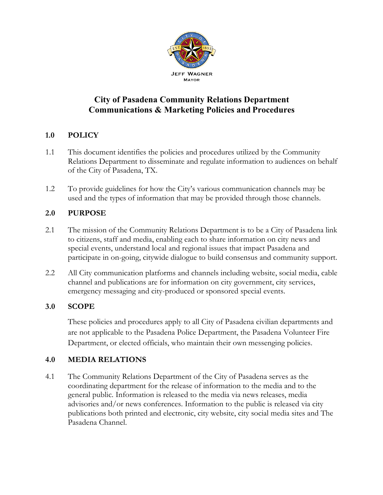

# **City of Pasadena Community Relations Department Communications & Marketing Policies and Procedures**

# **1.0 POLICY**

- 1.1 This document identifies the policies and procedures utilized by the Community Relations Department to disseminate and regulate information to audiences on behalf of the City of Pasadena, TX.
- 1.2 To provide guidelines for how the City's various communication channels may be used and the types of information that may be provided through those channels.

# **2.0 PURPOSE**

- 2.1 The mission of the Community Relations Department is to be a City of Pasadena link to citizens, staff and media, enabling each to share information on city news and special events, understand local and regional issues that impact Pasadena and participate in on-going, citywide dialogue to build consensus and community support.
- 2.2 All City communication platforms and channels including website, social media, cable channel and publications are for information on city government, city services, emergency messaging and city-produced or sponsored special events.

## **3.0 SCOPE**

These policies and procedures apply to all City of Pasadena civilian departments and are not applicable to the Pasadena Police Department, the Pasadena Volunteer Fire Department, or elected officials, who maintain their own messenging policies.

## **4.0 MEDIA RELATIONS**

4.1 The Community Relations Department of the City of Pasadena serves as the coordinating department for the release of information to the media and to the general public. Information is released to the media via news releases, media advisories and/or news conferences. Information to the public is released via city publications both printed and electronic, city website, city social media sites and The Pasadena Channel.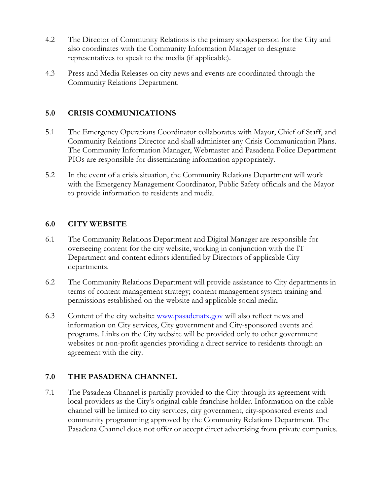- 4.2 The Director of Community Relations is the primary spokesperson for the City and also coordinates with the Community Information Manager to designate representatives to speak to the media (if applicable).
- 4.3 Press and Media Releases on city news and events are coordinated through the Community Relations Department.

## **5.0 CRISIS COMMUNICATIONS**

- 5.1 The Emergency Operations Coordinator collaborates with Mayor, Chief of Staff, and Community Relations Director and shall administer any Crisis Communication Plans. The Community Information Manager, Webmaster and Pasadena Police Department PIOs are responsible for disseminating information appropriately.
- 5.2 In the event of a crisis situation, the Community Relations Department will work with the Emergency Management Coordinator, Public Safety officials and the Mayor to provide information to residents and media.

#### **6.0 CITY WEBSITE**

- 6.1 The Community Relations Department and Digital Manager are responsible for overseeing content for the city website, working in conjunction with the IT Department and content editors identified by Directors of applicable City departments.
- 6.2 The Community Relations Department will provide assistance to City departments in terms of content management strategy; content management system training and permissions established on the website and applicable social media.
- 6.3 Content of the city website: www.pasadenatx.gov will also reflect news and information on City services, City government and City-sponsored events and programs. Links on the City website will be provided only to other government websites or non-profit agencies providing a direct service to residents through an agreement with the city.

## **7.0 THE PASADENA CHANNEL**

7.1 The Pasadena Channel is partially provided to the City through its agreement with local providers as the City's original cable franchise holder. Information on the cable channel will be limited to city services, city government, city-sponsored events and community programming approved by the Community Relations Department. The Pasadena Channel does not offer or accept direct advertising from private companies.